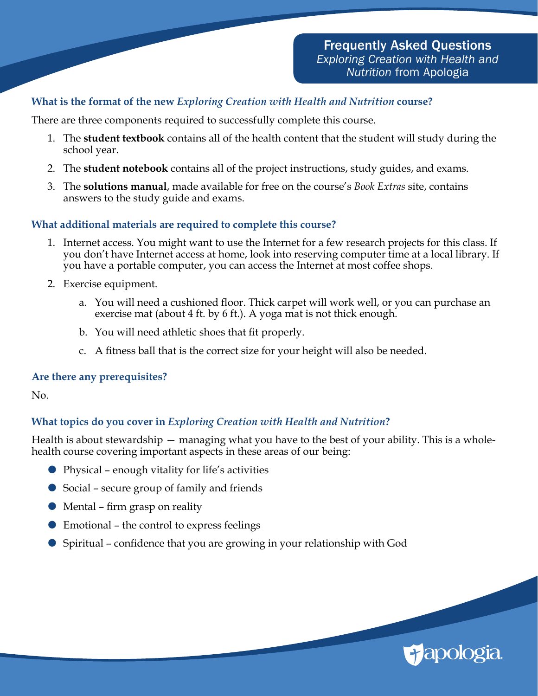# **What is the format of the new** *Exploring Creation with Health and Nutrition* **course?**

There are three components required to successfully complete this course.

- 1. The **student textbook** contains all of the health content that the student will study during the school year.
- 2. The **student notebook** contains all of the project instructions, study guides, and exams.
- 3. The **solutions manual**, made available for free on the course's *Book Extras* site, contains answers to the study guide and exams.

## **What additional materials are required to complete this course?**

- 1. Internet access. You might want to use the Internet for a few research projects for this class. If you don't have Internet access at home, look into reserving computer time at a local library. If you have a portable computer, you can access the Internet at most coffee shops.
- 2. Exercise equipment.
	- a. You will need a cushioned floor. Thick carpet will work well, or you can purchase an exercise mat (about 4 ft. by 6 ft.). A yoga mat is not thick enough.
	- b. You will need athletic shoes that fit properly.
	- c. A fitness ball that is the correct size for your height will also be needed.

### **Are there any prerequisites?**

No.

# **What topics do you cover in** *Exploring Creation with Health and Nutrition***?**

Health is about stewardship — managing what you have to the best of your ability. This is a wholehealth course covering important aspects in these areas of our being:

- Physical enough vitality for life's activities
- Social secure group of family and friends
- Mental firm grasp on reality
- Emotional the control to express feelings
- Spiritual confidence that you are growing in your relationship with God

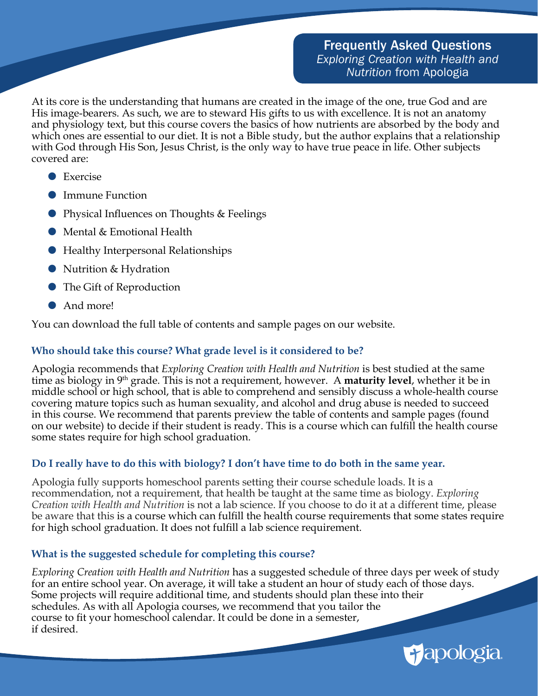At its core is the understanding that humans are created in the image of the one, true God and are His image-bearers. As such, we are to steward His gifts to us with excellence. It is not an anatomy and physiology text, but this course covers the basics of how nutrients are absorbed by the body and which ones are essential to our diet. It is not a Bible study, but the author explains that a relationship with God through His Son, Jesus Christ, is the only way to have true peace in life. Other subjects covered are:

- **Exercise**
- **•** Immune Function
- Physical Influences on Thoughts & Feelings
- Mental & Emotional Health
- Healthy Interpersonal Relationships
- Nutrition & Hydration
- **●** The Gift of Reproduction
- And more!

You can download the full table of contents and sample pages on our website.

# **Who should take this course? What grade level is it considered to be?**

Apologia recommends that *Exploring Creation with Health and Nutrition* is best studied at the same time as biology in 9th grade. This is not a requirement, however. A **maturity level**, whether it be in middle school or high school, that is able to comprehend and sensibly discuss a whole-health course covering mature topics such as human sexuality, and alcohol and drug abuse is needed to succeed in this course. We recommend that parents preview the table of contents and sample pages (found on our website) to decide if their student is ready. This is a course which can fulfill the health course some states require for high school graduation.

# **Do I really have to do this with biology? I don't have time to do both in the same year.**

Apologia fully supports homeschool parents setting their course schedule loads. It is a recommendation, not a requirement, that health be taught at the same time as biology. *Exploring Creation with Health and Nutrition* is not a lab science. If you choose to do it at a different time, please be aware that this is a course which can fulfill the health course requirements that some states require for high school graduation. It does not fulfill a lab science requirement.

# **What is the suggested schedule for completing this course?**

*Exploring Creation with Health and Nutrition* has a suggested schedule of three days per week of study for an entire school year. On average, it will take a student an hour of study each of those days. Some projects will require additional time, and students should plan these into their schedules. As with all Apologia courses, we recommend that you tailor the course to fit your homeschool calendar. It could be done in a semester, if desired.

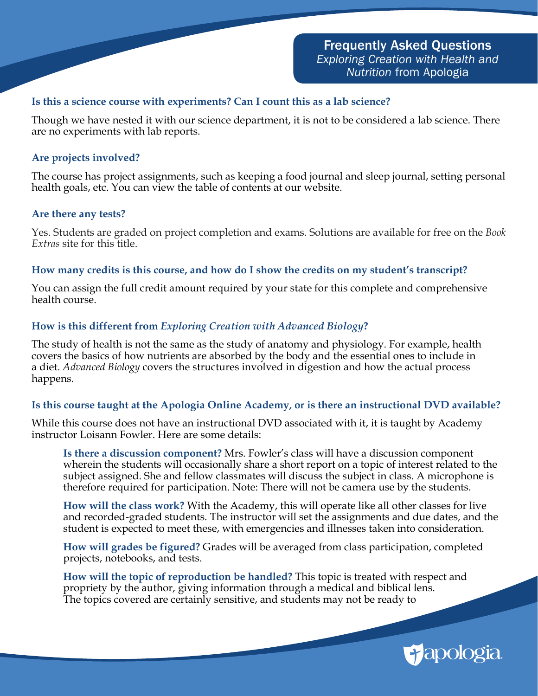## **Is this a science course with experiments? Can I count this as a lab science?**

Though we have nested it with our science department, it is not to be considered a lab science. There are no experiments with lab reports.

### **Are projects involved?**

The course has project assignments, such as keeping a food journal and sleep journal, setting personal health goals, etc. You can view the table of contents at our website.

#### **Are there any tests?**

Yes. Students are graded on project completion and exams. Solutions are available for free on the *Book Extras* site for this title.

## **How many credits is this course, and how do I show the credits on my student's transcript?**

You can assign the full credit amount required by your state for this complete and comprehensive health course.

# **How is this different from** *Exploring Creation with Advanced Biology***?**

The study of health is not the same as the study of anatomy and physiology. For example, health covers the basics of how nutrients are absorbed by the body and the essential ones to include in a diet. *Advanced Biology* covers the structures involved in digestion and how the actual process happens.

### **Is this course taught at the Apologia Online Academy, or is there an instructional DVD available?**

While this course does not have an instructional DVD associated with it, it is taught by Academy instructor Loisann Fowler. Here are some details:

**Is there a discussion component?** Mrs. Fowler's class will have a discussion component wherein the students will occasionally share a short report on a topic of interest related to the subject assigned. She and fellow classmates will discuss the subject in class. A microphone is therefore required for participation. Note: There will not be camera use by the students.

**How will the class work?** With the Academy, this will operate like all other classes for live and recorded-graded students. The instructor will set the assignments and due dates, and the student is expected to meet these, with emergencies and illnesses taken into consideration.

**How will grades be figured?** Grades will be averaged from class participation, completed projects, notebooks, and tests.

**How will the topic of reproduction be handled?** This topic is treated with respect and propriety by the author, giving information through a medical and biblical lens. The topics covered are certainly sensitive, and students may not be ready to

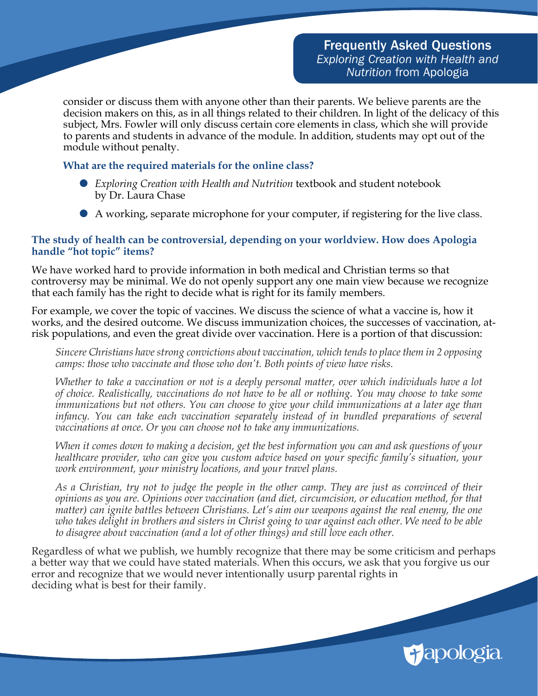consider or discuss them with anyone other than their parents. We believe parents are the decision makers on this, as in all things related to their children. In light of the delicacy of this subject, Mrs. Fowler will only discuss certain core elements in class, which she will provide to parents and students in advance of the module. In addition, students may opt out of the module without penalty.

#### **What are the required materials for the online class?**

- *Exploring Creation with Health and Nutrition* textbook and student notebook by Dr. Laura Chase
- A working, separate microphone for your computer, if registering for the live class.

#### **The study of health can be controversial, depending on your worldview. How does Apologia handle "hot topic" items?**

We have worked hard to provide information in both medical and Christian terms so that controversy may be minimal. We do not openly support any one main view because we recognize that each family has the right to decide what is right for its family members.

For example, we cover the topic of vaccines. We discuss the science of what a vaccine is, how it works, and the desired outcome. We discuss immunization choices, the successes of vaccination, atrisk populations, and even the great divide over vaccination. Here is a portion of that discussion:

*Sincere Christians have strong convictions about vaccination, which tends to place them in 2 opposing camps: those who vaccinate and those who don't. Both points of view have risks.* 

*Whether to take a vaccination or not is a deeply personal matter, over which individuals have a lot of choice. Realistically, vaccinations do not have to be all or nothing. You may choose to take some immunizations but not others. You can choose to give your child immunizations at a later age than infancy. You can take each vaccination separately instead of in bundled preparations of several vaccinations at once. Or you can choose not to take any immunizations.*

*When it comes down to making a decision, get the best information you can and ask questions of your healthcare provider, who can give you custom advice based on your specific family's situation, your work environment, your ministry locations, and your travel plans.*

*As a Christian, try not to judge the people in the other camp. They are just as convinced of their opinions as you are. Opinions over vaccination (and diet, circumcision, or education method, for that matter) can ignite battles between Christians. Let's aim our weapons against the real enemy, the one who takes delight in brothers and sisters in Christ going to war against each other. We need to be able to disagree about vaccination (and a lot of other things) and still love each other.* 

Regardless of what we publish, we humbly recognize that there may be some criticism and perhaps a better way that we could have stated materials. When this occurs, we ask that you forgive us our error and recognize that we would never intentionally usurp parental rights in deciding what is best for their family.

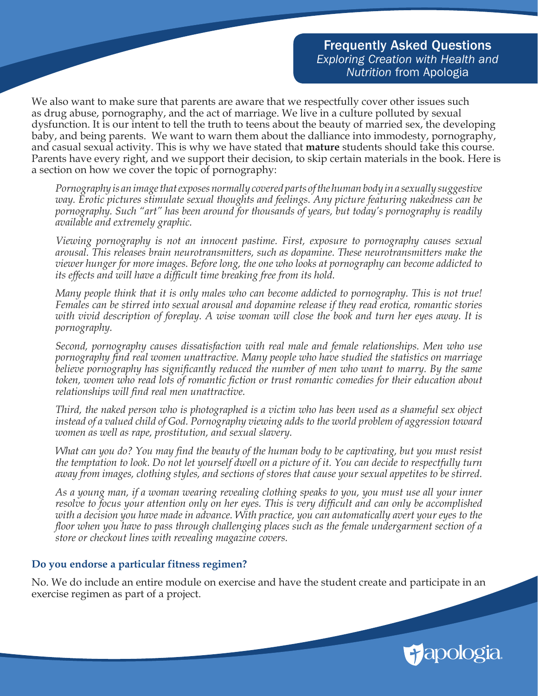We also want to make sure that parents are aware that we respectfully cover other issues such as drug abuse, pornography, and the act of marriage. We live in a culture polluted by sexual dysfunction. It is our intent to tell the truth to teens about the beauty of married sex, the developing baby, and being parents. We want to warn them about the dalliance into immodesty, pornography, and casual sexual activity. This is why we have stated that **mature** students should take this course. Parents have every right, and we support their decision, to skip certain materials in the book. Here is a section on how we cover the topic of pornography:

*Pornography is an image that exposes normally covered parts of the human body in a sexually suggestive way. Erotic pictures stimulate sexual thoughts and feelings. Any picture featuring nakedness can be pornography. Such "art" has been around for thousands of years, but today's pornography is readily available and extremely graphic.*

*Viewing pornography is not an innocent pastime. First, exposure to pornography causes sexual arousal. This releases brain neurotransmitters, such as dopamine. These neurotransmitters make the viewer hunger for more images. Before long, the one who looks at pornography can become addicted to its effects and will have a difficult time breaking free from its hold.*

*Many people think that it is only males who can become addicted to pornography. This is not true! Females can be stirred into sexual arousal and dopamine release if they read erotica, romantic stories with vivid description of foreplay. A wise woman will close the book and turn her eyes away. It is pornography.*

*Second, pornography causes dissatisfaction with real male and female relationships. Men who use pornography find real women unattractive. Many people who have studied the statistics on marriage believe pornography has significantly reduced the number of men who want to marry. By the same token, women who read lots of romantic fiction or trust romantic comedies for their education about relationships will find real men unattractive.*

*Third, the naked person who is photographed is a victim who has been used as a shameful sex object instead of a valued child of God. Pornography viewing adds to the world problem of aggression toward women as well as rape, prostitution, and sexual slavery.*

*What can you do? You may find the beauty of the human body to be captivating, but you must resist the temptation to look. Do not let yourself dwell on a picture of it. You can decide to respectfully turn away from images, clothing styles, and sections of stores that cause your sexual appetites to be stirred.*

*As a young man, if a woman wearing revealing clothing speaks to you, you must use all your inner resolve to focus your attention only on her eyes. This is very difficult and can only be accomplished with a decision you have made in advance. With practice, you can automatically avert your eyes to the floor when you have to pass through challenging places such as the female undergarment section of a store or checkout lines with revealing magazine covers.*

### **Do you endorse a particular fitness regimen?**

No. We do include an entire module on exercise and have the student create and participate in an exercise regimen as part of a project.